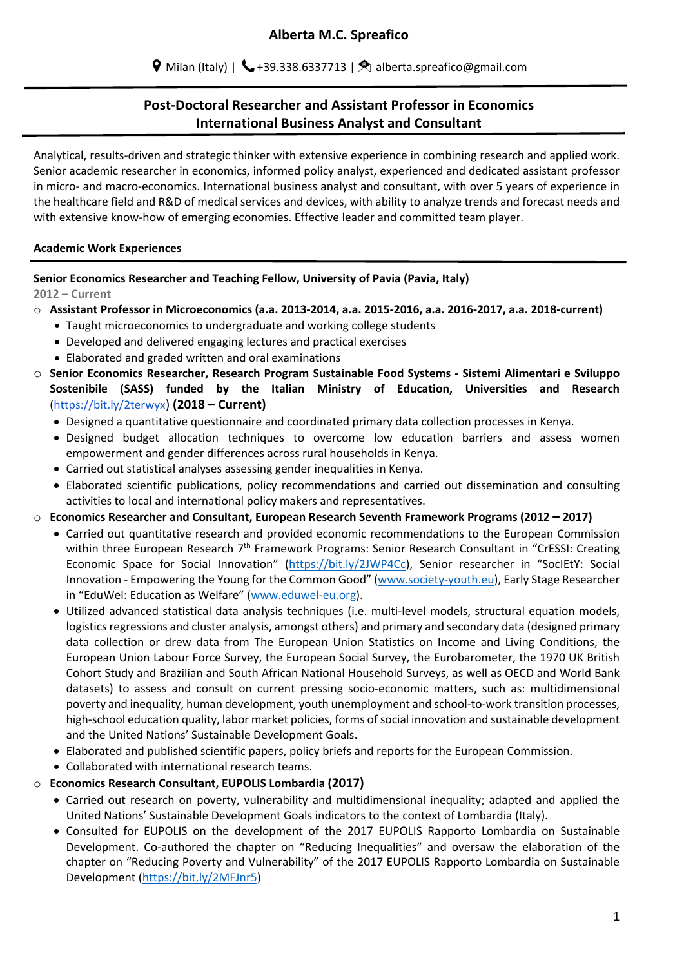# **Post-Doctoral Researcher and Assistant Professor in Economics International Business Analyst and Consultant**

Analytical, results-driven and strategic thinker with extensive experience in combining research and applied work. Senior academic researcher in economics, informed policy analyst, experienced and dedicated assistant professor in micro- and macro-economics. International business analyst and consultant, with over 5 years of experience in the healthcare field and R&D of medical services and devices, with ability to analyze trends and forecast needs and with extensive know-how of emerging economies. Effective leader and committed team player.

### **Academic Work Experiences**

### **Senior Economics Researcher and Teaching Fellow, University of Pavia (Pavia, Italy)**

**2012 – Current**

- o **Assistant Professor in Microeconomics (a.a. 2013-2014, a.a. 2015-2016, a.a. 2016-2017, a.a. 2018-current)**
	- Taught microeconomics to undergraduate and working college students
	- Developed and delivered engaging lectures and practical exercises
	- Elaborated and graded written and oral examinations
- o **Senior Economics Researcher, Research Program Sustainable Food Systems - Sistemi Alimentari e Sviluppo Sostenibile (SASS) funded by the Italian Ministry of Education, Universities and Research** (https://bit.ly/2terwyx) **(2018 – Current)**
	- Designed a quantitative questionnaire and coordinated primary data collection processes in Kenya.
	- Designed budget allocation techniques to overcome low education barriers and assess women empowerment and gender differences across rural households in Kenya.
	- Carried out statistical analyses assessing gender inequalities in Kenya.
	- Elaborated scientific publications, policy recommendations and carried out dissemination and consulting activities to local and international policy makers and representatives.
- o **Economics Researcher and Consultant, European Research Seventh Framework Programs (2012 – 2017)**
	- Carried out quantitative research and provided economic recommendations to the European Commission within three European Research 7<sup>th</sup> Framework Programs: Senior Research Consultant in "CrESSI: Creating Economic Space for Social Innovation" (https://bit.ly/2JWP4Cc), Senior researcher in "SocIEtY: Social Innovation - Empowering the Young for the Common Good" (www.society-youth.eu), Early Stage Researcher in "EduWel: Education as Welfare" (www.eduwel-eu.org).
	- Utilized advanced statistical data analysis techniques (i.e. multi-level models, structural equation models, logistics regressions and cluster analysis, amongst others) and primary and secondary data (designed primary data collection or drew data from The European Union Statistics on Income and Living Conditions, the European Union Labour Force Survey, the European Social Survey, the Eurobarometer, the 1970 UK British Cohort Study and Brazilian and South African National Household Surveys, as well as OECD and World Bank datasets) to assess and consult on current pressing socio-economic matters, such as: multidimensional poverty and inequality, human development, youth unemployment and school-to-work transition processes, high-school education quality, labor market policies, forms of social innovation and sustainable development and the United Nations' Sustainable Development Goals.
	- Elaborated and published scientific papers, policy briefs and reports for the European Commission.
	- Collaborated with international research teams.

### o **Economics Research Consultant, EUPOLIS Lombardia (2017)**

- Carried out research on poverty, vulnerability and multidimensional inequality; adapted and applied the United Nations' Sustainable Development Goals indicators to the context of Lombardia (Italy).
- Consulted for EUPOLIS on the development of the 2017 EUPOLIS Rapporto Lombardia on Sustainable Development. Co-authored the chapter on "Reducing Inequalities" and oversaw the elaboration of the chapter on "Reducing Poverty and Vulnerability" of the 2017 EUPOLIS Rapporto Lombardia on Sustainable Development (https://bit.ly/2MFJnr5)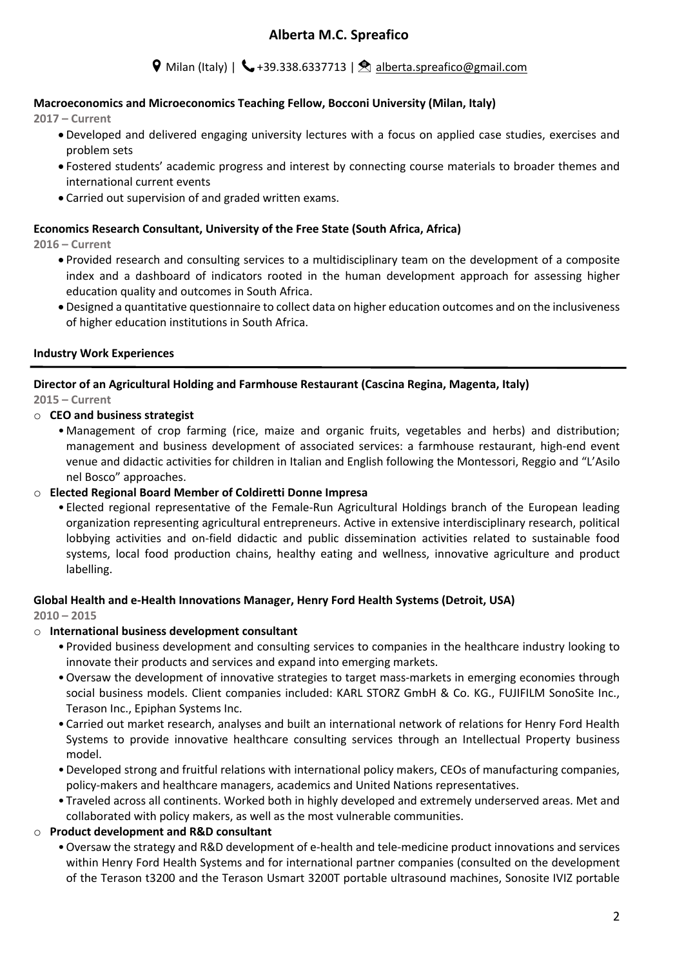## $\triangledown$  Milan (Italy) |  $\triangledown$  +39.338.6337713 |  $\triangledown$  alberta.spreafico@gmail.com

### **Macroeconomics and Microeconomics Teaching Fellow, Bocconi University (Milan, Italy)**

**2017 – Current**

- Developed and delivered engaging university lectures with a focus on applied case studies, exercises and problem sets
- Fostered students' academic progress and interest by connecting course materials to broader themes and international current events
- Carried out supervision of and graded written exams.

#### **Economics Research Consultant, University of the Free State (South Africa, Africa)**

**2016 – Current**

- Provided research and consulting services to a multidisciplinary team on the development of a composite index and a dashboard of indicators rooted in the human development approach for assessing higher education quality and outcomes in South Africa.
- Designed a quantitative questionnaire to collect data on higher education outcomes and on the inclusiveness of higher education institutions in South Africa.

### **Industry Work Experiences**

**Director of an Agricultural Holding and Farmhouse Restaurant (Cascina Regina, Magenta, Italy) 2015 – Current**

### o **CEO and business strategist**

• Management of crop farming (rice, maize and organic fruits, vegetables and herbs) and distribution; management and business development of associated services: a farmhouse restaurant, high-end event venue and didactic activities for children in Italian and English following the Montessori, Reggio and "L'Asilo nel Bosco" approaches.

### o **Elected Regional Board Member of Coldiretti Donne Impresa**

• Elected regional representative of the Female-Run Agricultural Holdings branch of the European leading organization representing agricultural entrepreneurs. Active in extensive interdisciplinary research, political lobbying activities and on-field didactic and public dissemination activities related to sustainable food systems, local food production chains, healthy eating and wellness, innovative agriculture and product labelling.

### **Global Health and e-Health Innovations Manager, Henry Ford Health Systems (Detroit, USA)**

**2010 – 2015**

### o **International business development consultant**

- Provided business development and consulting services to companies in the healthcare industry looking to innovate their products and services and expand into emerging markets.
- •Oversaw the development of innovative strategies to target mass-markets in emerging economies through social business models. Client companies included: KARL STORZ GmbH & Co. KG., FUJIFILM SonoSite Inc., Terason Inc., Epiphan Systems Inc.
- Carried out market research, analyses and built an international network of relations for Henry Ford Health Systems to provide innovative healthcare consulting services through an Intellectual Property business model.
- •Developed strong and fruitful relations with international policy makers, CEOs of manufacturing companies, policy-makers and healthcare managers, academics and United Nations representatives.
- Traveled across all continents. Worked both in highly developed and extremely underserved areas. Met and collaborated with policy makers, as well as the most vulnerable communities.

### o **Product development and R&D consultant**

•Oversaw the strategy and R&D development of e-health and tele-medicine product innovations and services within Henry Ford Health Systems and for international partner companies (consulted on the development of the Terason t3200 and the Terason Usmart 3200T portable ultrasound machines, Sonosite IVIZ portable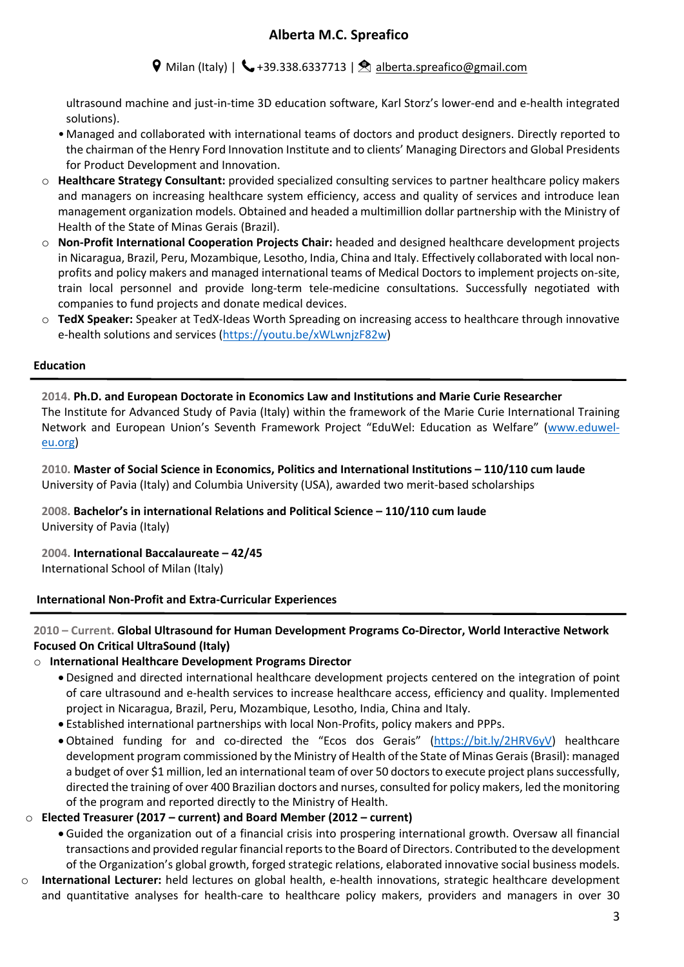## $\triangledown$  Milan (Italy) |  $\triangledown$  +39.338.6337713 |  $\triangledown$  alberta.spreafico@gmail.com

ultrasound machine and just-in-time 3D education software, Karl Storz's lower-end and e-health integrated solutions).

- Managed and collaborated with international teams of doctors and product designers. Directly reported to the chairman of the Henry Ford Innovation Institute and to clients' Managing Directors and Global Presidents for Product Development and Innovation.
- o **Healthcare Strategy Consultant:** provided specialized consulting services to partner healthcare policy makers and managers on increasing healthcare system efficiency, access and quality of services and introduce lean management organization models. Obtained and headed a multimillion dollar partnership with the Ministry of Health of the State of Minas Gerais (Brazil).
- o **Non-Profit International Cooperation Projects Chair:** headed and designed healthcare development projects in Nicaragua, Brazil, Peru, Mozambique, Lesotho, India, China and Italy. Effectively collaborated with local nonprofits and policy makers and managed international teams of Medical Doctors to implement projects on-site, train local personnel and provide long-term tele-medicine consultations. Successfully negotiated with companies to fund projects and donate medical devices.
- o **TedX Speaker:** Speaker at TedX-Ideas Worth Spreading on increasing access to healthcare through innovative e-health solutions and services (https://youtu.be/xWLwnjzF82w)

#### **Education**

**2014. Ph.D. and European Doctorate in Economics Law and Institutions and Marie Curie Researcher** The Institute for Advanced Study of Pavia (Italy) within the framework of the Marie Curie International Training Network and European Union's Seventh Framework Project "EduWel: Education as Welfare" (www.eduweleu.org)

**2010. Master of Social Science in Economics, Politics and International Institutions – 110/110 cum laude** University of Pavia (Italy) and Columbia University (USA), awarded two merit-based scholarships

**2008. Bachelor's in international Relations and Political Science – 110/110 cum laude** University of Pavia (Italy)

**2004. International Baccalaureate – 42/45** International School of Milan (Italy)

### **International Non-Profit and Extra-Curricular Experiences**

### **2010 – Current. Global Ultrasound for Human Development Programs Co-Director, World Interactive Network Focused On Critical UltraSound (Italy)**

### o **International Healthcare Development Programs Director**

- Designed and directed international healthcare development projects centered on the integration of point of care ultrasound and e-health services to increase healthcare access, efficiency and quality. Implemented project in Nicaragua, Brazil, Peru, Mozambique, Lesotho, India, China and Italy.
- Established international partnerships with local Non-Profits, policy makers and PPPs.
- Obtained funding for and co-directed the "Ecos dos Gerais" (https://bit.ly/2HRV6yV) healthcare development program commissioned by the Ministry of Health of the State of Minas Gerais (Brasil): managed a budget of over \$1 million, led an international team of over 50 doctors to execute project plans successfully, directed the training of over 400 Brazilian doctors and nurses, consulted for policy makers, led the monitoring of the program and reported directly to the Ministry of Health.

### o **Elected Treasurer (2017 – current) and Board Member (2012 – current)**

- Guided the organization out of a financial crisis into prospering international growth. Oversaw all financial transactions and provided regular financial reports to the Board of Directors. Contributed to the development of the Organization's global growth, forged strategic relations, elaborated innovative social business models.
- o **International Lecturer:** held lectures on global health, e-health innovations, strategic healthcare development and quantitative analyses for health-care to healthcare policy makers, providers and managers in over 30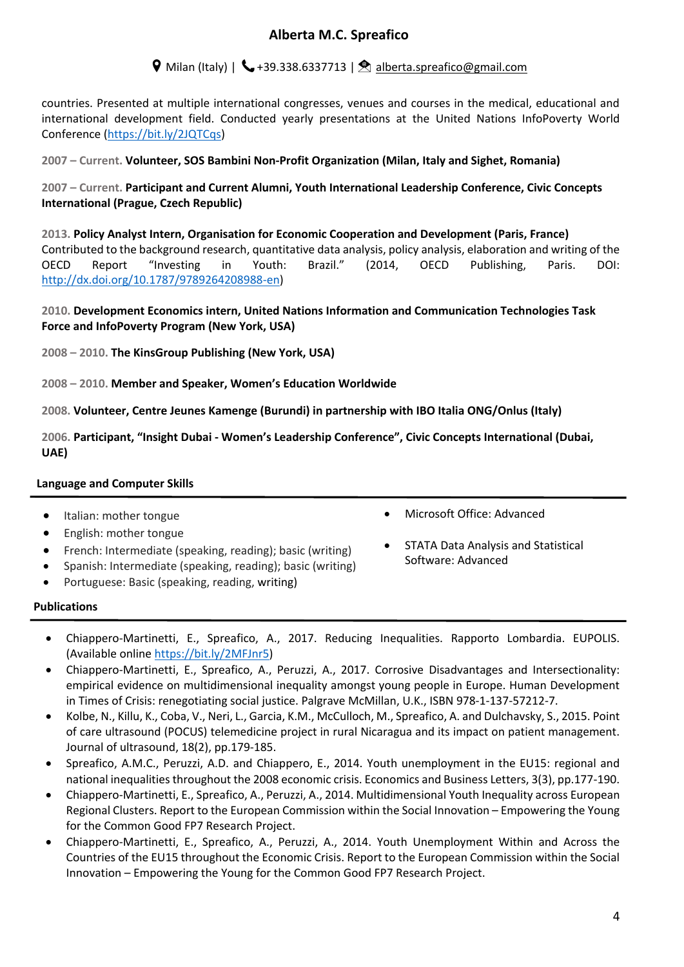# $\triangledown$  Milan (Italy) |  $\triangledown$  +39.338.6337713 |  $\triangledown$  alberta.spreafico@gmail.com

countries. Presented at multiple international congresses, venues and courses in the medical, educational and international development field. Conducted yearly presentations at the United Nations InfoPoverty World Conference (https://bit.ly/2JQTCqs)

**2007 – Current. Volunteer, SOS Bambini Non-Profit Organization (Milan, Italy and Sighet, Romania)** 

**2007 – Current. Participant and Current Alumni, Youth International Leadership Conference, Civic Concepts International (Prague, Czech Republic)**

**2013. Policy Analyst Intern, Organisation for Economic Cooperation and Development (Paris, France)**  Contributed to the background research, quantitative data analysis, policy analysis, elaboration and writing of the OECD Report "Investing in Youth: Brazil." (2014, OECD Publishing, Paris. DOI: http://dx.doi.org/10.1787/9789264208988-en)

### **2010. Development Economics intern, United Nations Information and Communication Technologies Task Force and InfoPoverty Program (New York, USA)**

**2008 – 2010. The KinsGroup Publishing (New York, USA)** 

**2008 – 2010. Member and Speaker, Women's Education Worldwide** 

**2008. Volunteer, Centre Jeunes Kamenge (Burundi) in partnership with IBO Italia ONG/Onlus (Italy)** 

**2006. Participant, "Insight Dubai - Women's Leadership Conference", Civic Concepts International (Dubai, UAE)** 

### **Language and Computer Skills**

- Italian: mother tongue
- English: mother tongue
- French: Intermediate (speaking, reading); basic (writing)
- Spanish: Intermediate (speaking, reading); basic (writing)
- Portuguese: Basic (speaking, reading, writing)
- Microsoft Office: Advanced
- STATA Data Analysis and Statistical Software: Advanced

#### **Publications**

- Chiappero-Martinetti, E., Spreafico, A., 2017. Reducing Inequalities. Rapporto Lombardia. EUPOLIS. (Available online https://bit.ly/2MFJnr5)
- Chiappero-Martinetti, E., Spreafico, A., Peruzzi, A., 2017. Corrosive Disadvantages and Intersectionality: empirical evidence on multidimensional inequality amongst young people in Europe. Human Development in Times of Crisis: renegotiating social justice. Palgrave McMillan, U.K., ISBN 978-1-137-57212-7.
- Kolbe, N., Killu, K., Coba, V., Neri, L., Garcia, K.M., McCulloch, M., Spreafico, A. and Dulchavsky, S., 2015. Point of care ultrasound (POCUS) telemedicine project in rural Nicaragua and its impact on patient management. Journal of ultrasound, 18(2), pp.179-185.
- Spreafico, A.M.C., Peruzzi, A.D. and Chiappero, E., 2014. Youth unemployment in the EU15: regional and national inequalities throughout the 2008 economic crisis. Economics and Business Letters, 3(3), pp.177-190.
- Chiappero-Martinetti, E., Spreafico, A., Peruzzi, A., 2014. Multidimensional Youth Inequality across European Regional Clusters. Report to the European Commission within the Social Innovation – Empowering the Young for the Common Good FP7 Research Project.
- Chiappero-Martinetti, E., Spreafico, A., Peruzzi, A., 2014. Youth Unemployment Within and Across the Countries of the EU15 throughout the Economic Crisis. Report to the European Commission within the Social Innovation – Empowering the Young for the Common Good FP7 Research Project.